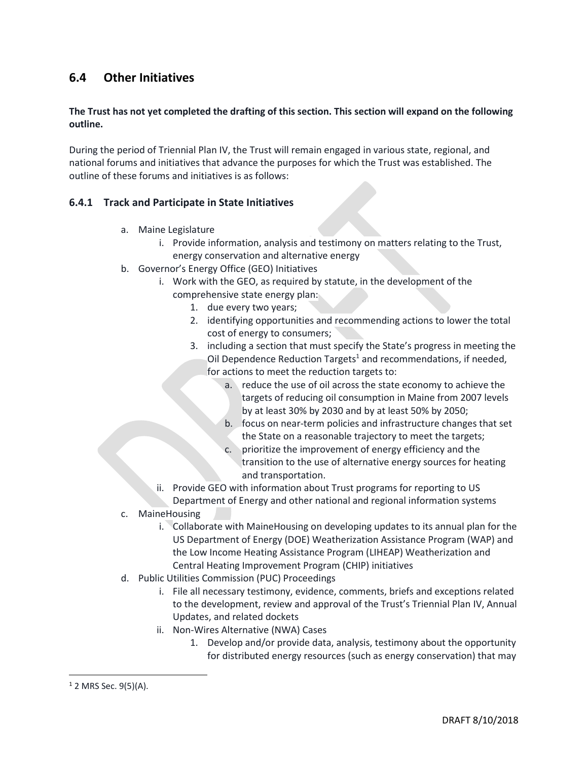## **6.4 Other Initiatives**

## **The Trust has not yet completed the drafting of this section. This section will expand on the following outline.**

During the period of Triennial Plan IV, the Trust will remain engaged in various state, regional, and national forums and initiatives that advance the purposes for which the Trust was established. The outline of these forums and initiatives is as follows:

## **6.4.1 Track and Participate in State Initiatives**

- a. Maine Legislature
	- i. Provide information, analysis and testimony on matters relating to the Trust, energy conservation and alternative energy
- b. Governor's Energy Office (GEO) Initiatives
	- i. Work with the GEO, as required by statute, in the development of the comprehensive state energy plan:
		- 1. due every two years;
		- 2. identifying opportunities and recommending actions to lower the total cost of energy to consumers;
		- 3. including a section that must specify the State's progress in meeting the Oil Dependence Reduction Targets<sup>1</sup> and recommendations, if needed, for actions to meet the reduction targets to:
			- a. reduce the use of oil across the state economy to achieve the targets of reducing oil consumption in Maine from 2007 levels by at least 30% by 2030 and by at least 50% by 2050;
			- b. focus on near-term policies and infrastructure changes that set the State on a reasonable trajectory to meet the targets;
			- c. prioritize the improvement of energy efficiency and the transition to the use of alternative energy sources for heating and transportation.
		- ii. Provide GEO with information about Trust programs for reporting to US Department of Energy and other national and regional information systems
- c. MaineHousing
	- i. Collaborate with MaineHousing on developing updates to its annual plan for the US Department of Energy (DOE) Weatherization Assistance Program (WAP) and the Low Income Heating Assistance Program (LIHEAP) Weatherization and Central Heating Improvement Program (CHIP) initiatives
- d. Public Utilities Commission (PUC) Proceedings
	- i. File all necessary testimony, evidence, comments, briefs and exceptions related to the development, review and approval of the Trust's Triennial Plan IV, Annual Updates, and related dockets
	- ii. Non-Wires Alternative (NWA) Cases
		- 1. Develop and/or provide data, analysis, testimony about the opportunity for distributed energy resources (such as energy conservation) that may

 $\overline{\phantom{a}}$ 

 $1$  2 MRS Sec. 9(5)(A).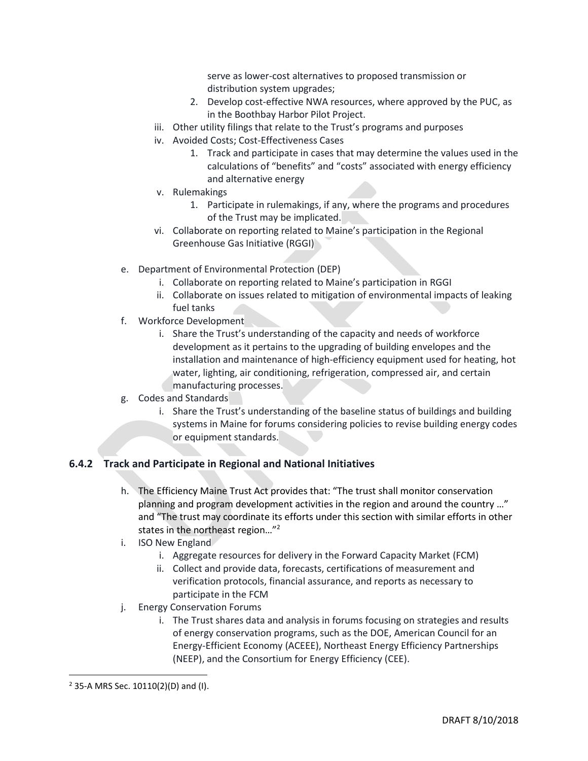serve as lower-cost alternatives to proposed transmission or distribution system upgrades;

- 2. Develop cost-effective NWA resources, where approved by the PUC, as in the Boothbay Harbor Pilot Project.
- iii. Other utility filings that relate to the Trust's programs and purposes
- iv. Avoided Costs; Cost-Effectiveness Cases
	- 1. Track and participate in cases that may determine the values used in the calculations of "benefits" and "costs" associated with energy efficiency and alternative energy
- v. Rulemakings
	- 1. Participate in rulemakings, if any, where the programs and procedures of the Trust may be implicated.
- vi. Collaborate on reporting related to Maine's participation in the Regional Greenhouse Gas Initiative (RGGI)
- e. Department of Environmental Protection (DEP)
	- i. Collaborate on reporting related to Maine's participation in RGGI
	- ii. Collaborate on issues related to mitigation of environmental impacts of leaking fuel tanks
- f. Workforce Development
	- i. Share the Trust's understanding of the capacity and needs of workforce development as it pertains to the upgrading of building envelopes and the installation and maintenance of high-efficiency equipment used for heating, hot water, lighting, air conditioning, refrigeration, compressed air, and certain manufacturing processes.
- g. Codes and Standards
	- i. Share the Trust's understanding of the baseline status of buildings and building systems in Maine for forums considering policies to revise building energy codes or equipment standards.

## **6.4.2 Track and Participate in Regional and National Initiatives**

- h. The Efficiency Maine Trust Act provides that: "The trust shall monitor conservation planning and program development activities in the region and around the country …" and "The trust may coordinate its efforts under this section with similar efforts in other states in the northeast region…"<sup>2</sup>
- i. ISO New England
	- i. Aggregate resources for delivery in the Forward Capacity Market (FCM)
	- ii. Collect and provide data, forecasts, certifications of measurement and verification protocols, financial assurance, and reports as necessary to participate in the FCM
- j. Energy Conservation Forums
	- i. The Trust shares data and analysis in forums focusing on strategies and results of energy conservation programs, such as the DOE, American Council for an Energy-Efficient Economy (ACEEE), Northeast Energy Efficiency Partnerships (NEEP), and the Consortium for Energy Efficiency (CEE).

 $\overline{\phantom{a}}$ 

<sup>2</sup> 35-A MRS Sec. 10110(2)(D) and (I).